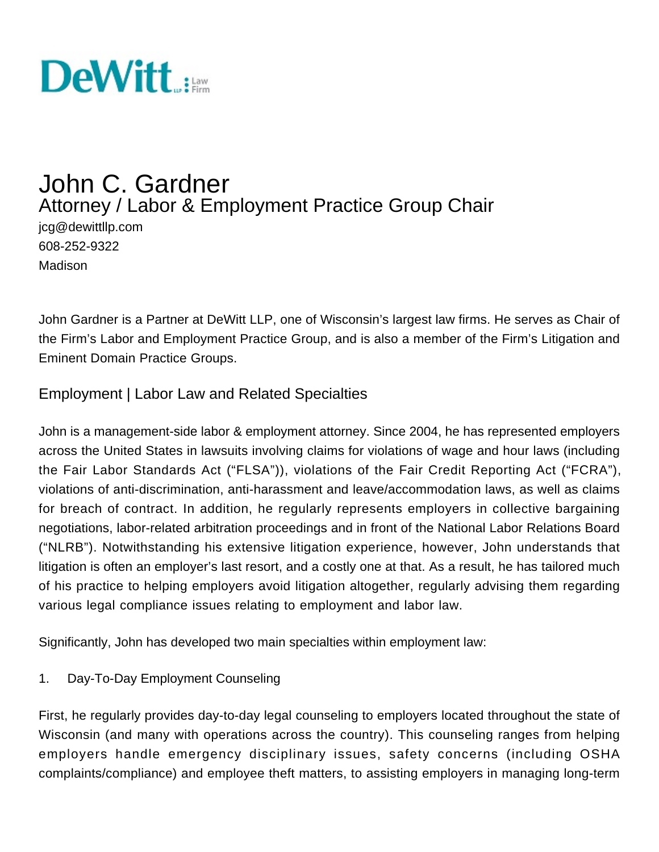

# John C. Gardner Attorney / Labor & Employment Practice Group Chair jcg@dewittllp.com

608-252-9322 Madison

John Gardner is a Partner at DeWitt LLP, one of Wisconsin's largest law firms. He serves as Chair of the Firm's Labor and Employment Practice Group, and is also a member of the Firm's Litigation and Eminent Domain Practice Groups.

# Employment | Labor Law and Related Specialties

John is a management-side labor & employment attorney. Since 2004, he has represented employers across the United States in lawsuits involving claims for violations of wage and hour laws (including the Fair Labor Standards Act ("FLSA")), violations of the Fair Credit Reporting Act ("FCRA"), violations of anti-discrimination, anti-harassment and leave/accommodation laws, as well as claims for breach of contract. In addition, he regularly represents employers in collective bargaining negotiations, labor-related arbitration proceedings and in front of the National Labor Relations Board ("NLRB"). Notwithstanding his extensive litigation experience, however, John understands that litigation is often an employer's last resort, and a costly one at that. As a result, he has tailored much of his practice to helping employers avoid litigation altogether, regularly advising them regarding various legal compliance issues relating to employment and labor law.

Significantly, John has developed two main specialties within employment law:

1. Day-To-Day Employment Counseling

First, he regularly provides day-to-day legal counseling to employers located throughout the state of Wisconsin (and many with operations across the country). This counseling ranges from helping employers handle emergency disciplinary issues, safety concerns (including OSHA complaints/compliance) and employee theft matters, to assisting employers in managing long-term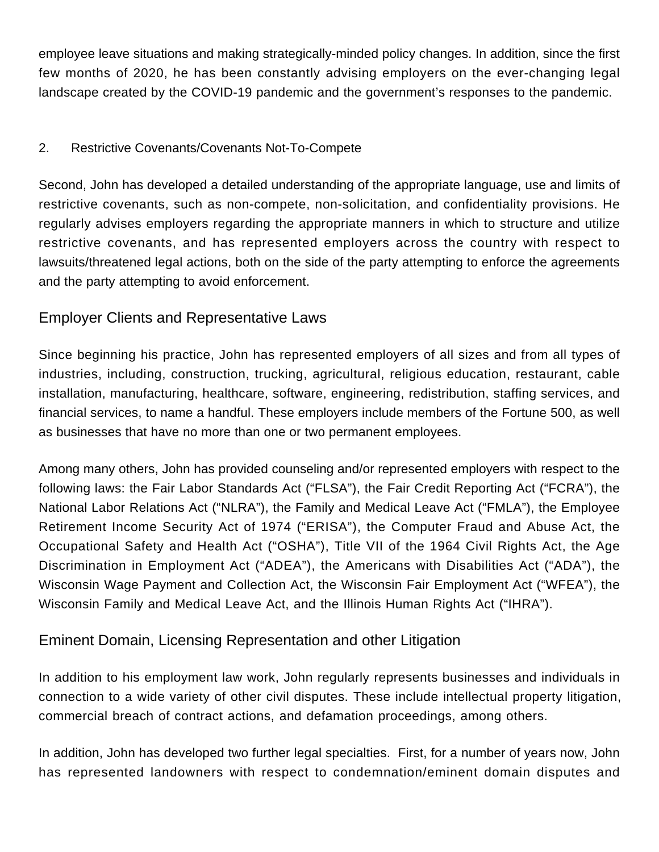employee leave situations and making strategically-minded policy changes. In addition, since the first few months of 2020, he has been constantly advising employers on the ever-changing legal landscape created by the COVID-19 pandemic and the government's responses to the pandemic.

### 2. Restrictive Covenants/Covenants Not-To-Compete

Second, John has developed a detailed understanding of the appropriate language, use and limits of restrictive covenants, such as non-compete, non-solicitation, and confidentiality provisions. He regularly advises employers regarding the appropriate manners in which to structure and utilize restrictive covenants, and has represented employers across the country with respect to lawsuits/threatened legal actions, both on the side of the party attempting to enforce the agreements and the party attempting to avoid enforcement.

# Employer Clients and Representative Laws

Since beginning his practice, John has represented employers of all sizes and from all types of industries, including, construction, trucking, agricultural, religious education, restaurant, cable installation, manufacturing, healthcare, software, engineering, redistribution, staffing services, and financial services, to name a handful. These employers include members of the Fortune 500, as well as businesses that have no more than one or two permanent employees.

Among many others, John has provided counseling and/or represented employers with respect to the following laws: the Fair Labor Standards Act ("FLSA"), the Fair Credit Reporting Act ("FCRA"), the National Labor Relations Act ("NLRA"), the Family and Medical Leave Act ("FMLA"), the Employee Retirement Income Security Act of 1974 ("ERISA"), the Computer Fraud and Abuse Act, the Occupational Safety and Health Act ("OSHA"), Title VII of the 1964 Civil Rights Act, the Age Discrimination in Employment Act ("ADEA"), the Americans with Disabilities Act ("ADA"), the Wisconsin Wage Payment and Collection Act, the Wisconsin Fair Employment Act ("WFEA"), the Wisconsin Family and Medical Leave Act, and the Illinois Human Rights Act ("IHRA").

# Eminent Domain, Licensing Representation and other Litigation

In addition to his employment law work, John regularly represents businesses and individuals in connection to a wide variety of other civil disputes. These include intellectual property litigation, commercial breach of contract actions, and defamation proceedings, among others.

In addition, John has developed two further legal specialties. First, for a number of years now, John has represented landowners with respect to condemnation/eminent domain disputes and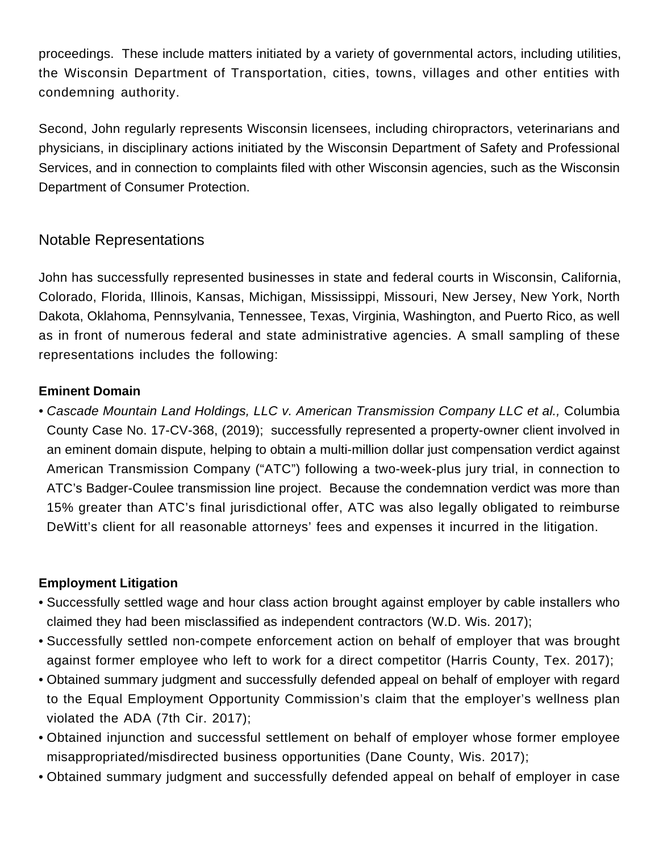proceedings. These include matters initiated by a variety of governmental actors, including utilities, the Wisconsin Department of Transportation, cities, towns, villages and other entities with condemning authority.

Second, John regularly represents Wisconsin licensees, including chiropractors, veterinarians and physicians, in disciplinary actions initiated by the Wisconsin Department of Safety and Professional Services, and in connection to complaints filed with other Wisconsin agencies, such as the Wisconsin Department of Consumer Protection.

### Notable Representations

John has successfully represented businesses in state and federal courts in Wisconsin, California, Colorado, Florida, Illinois, Kansas, Michigan, Mississippi, Missouri, New Jersey, New York, North Dakota, Oklahoma, Pennsylvania, Tennessee, Texas, Virginia, Washington, and Puerto Rico, as well as in front of numerous federal and state administrative agencies. A small sampling of these representations includes the following:

#### **Eminent Domain**

• Cascade Mountain Land Holdings, LLC v. American Transmission Company LLC et al., Columbia County Case No. 17-CV-368, (2019); successfully represented a property-owner client involved in an eminent domain dispute, helping to obtain a multi-million dollar just compensation verdict against American Transmission Company ("ATC") following a two-week-plus jury trial, in connection to ATC's Badger-Coulee transmission line project. Because the condemnation verdict was more than 15% greater than ATC's final jurisdictional offer, ATC was also legally obligated to reimburse DeWitt's client for all reasonable attorneys' fees and expenses it incurred in the litigation.

#### **Employment Litigation**

- Successfully settled wage and hour class action brought against employer by cable installers who claimed they had been misclassified as independent contractors (W.D. Wis. 2017);
- Successfully settled non-compete enforcement action on behalf of employer that was brought against former employee who left to work for a direct competitor (Harris County, Tex. 2017);
- Obtained summary judgment and successfully defended appeal on behalf of employer with regard to the Equal Employment Opportunity Commission's claim that the employer's wellness plan violated the ADA (7th Cir. 2017);
- Obtained injunction and successful settlement on behalf of employer whose former employee misappropriated/misdirected business opportunities (Dane County, Wis. 2017);
- Obtained summary judgment and successfully defended appeal on behalf of employer in case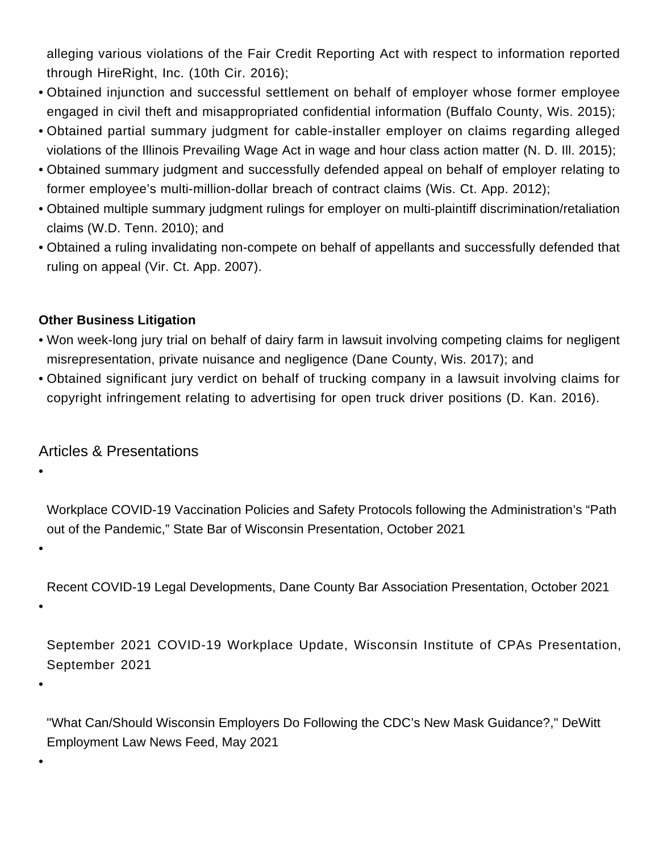alleging various violations of the Fair Credit Reporting Act with respect to information reported through HireRight, Inc. (10th Cir. 2016);

- Obtained injunction and successful settlement on behalf of employer whose former employee engaged in civil theft and misappropriated confidential information (Buffalo County, Wis. 2015);
- Obtained partial summary judgment for cable-installer employer on claims regarding alleged violations of the Illinois Prevailing Wage Act in wage and hour class action matter (N. D. Ill. 2015);
- Obtained summary judgment and successfully defended appeal on behalf of employer relating to former employee's multi-million-dollar breach of contract claims (Wis. Ct. App. 2012);
- Obtained multiple summary judgment rulings for employer on multi-plaintiff discrimination/retaliation claims (W.D. Tenn. 2010); and
- Obtained a ruling invalidating non-compete on behalf of appellants and successfully defended that ruling on appeal (Vir. Ct. App. 2007).

#### **Other Business Litigation**

- Won week-long jury trial on behalf of dairy farm in lawsuit involving competing claims for negligent misrepresentation, private nuisance and negligence (Dane County, Wis. 2017); and
- Obtained significant jury verdict on behalf of trucking company in a lawsuit involving claims for copyright infringement relating to advertising for open truck driver positions (D. Kan. 2016).

# Articles & Presentations

•

Workplace COVID-19 Vaccination Policies and Safety Protocols following the Administration's "Path out of the Pandemic," State Bar of Wisconsin Presentation, October 2021

Recent COVID-19 Legal Developments, Dane County Bar Association Presentation, October 2021

•

•

September 2021 COVID-19 Workplace Update, Wisconsin Institute of CPAs Presentation, September 2021

•

•

"[What Can/Should Wisconsin Employers Do Following the CDC's New Mask Guidance?](https://www.dewittllp.com/news-education/posts/2021/05/24/what-can-should-wisconsin-employers-do-following-the-cdc-s-new-mask-guidance)," DeWitt Employment Law News Feed, May 2021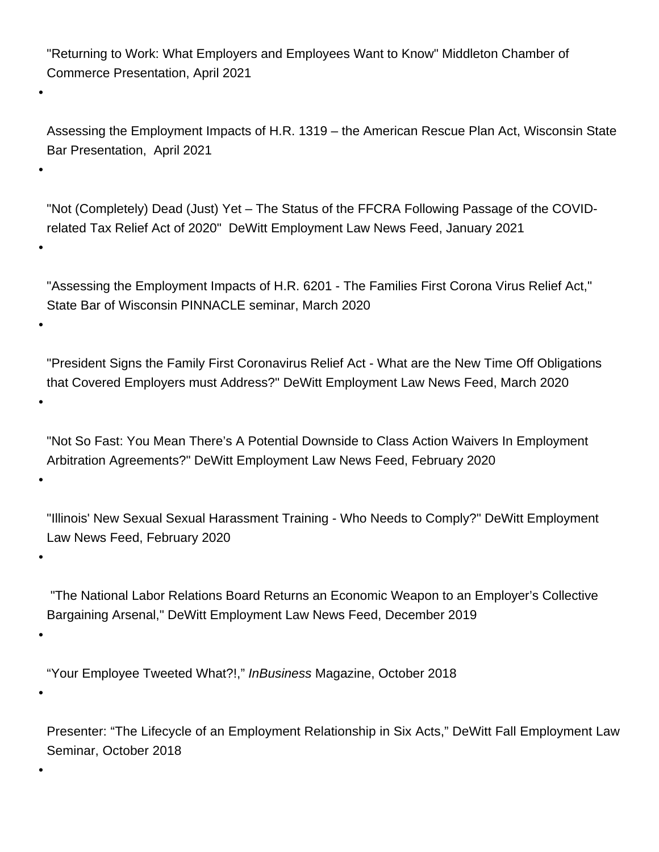"[Returning to Work: What Employers and Employees Want to Know](https://www.dewittllp.com/news-education/posts/2021/05/03/returning-to-work-what-employers-and-employees-want-to-know)" Middleton Chamber of Commerce Presentation, April 2021

•

•

•

•

•

•

•

•

•

•

Assessing the Employment Impacts of H.R. 1319 – the American Rescue Plan Act, Wisconsin State Bar Presentation, April 2021

"[Not \(Completely\) Dead \(Just\) Yet – The Status of the FFCRA Following Passage of the COVID](https://www.dewittllp.com/news-education/posts/2021/01/05/not-(completely)-dead-(just)-yet-the-status-of-the-ffcra-following-passage-of-the-covid-related-tax-relief-act-of-2020)[related Tax Relief Act of 2020"](https://www.dewittllp.com/news-education/posts/2021/01/05/not-(completely)-dead-(just)-yet-the-status-of-the-ffcra-following-passage-of-the-covid-related-tax-relief-act-of-2020) DeWitt Employment Law News Feed, January 2021

"[Assessing the Employment Impacts of H.R. 6201 - The Families First Corona Virus Relief Act,"](http://www.dewittllp.com/docs/default-source/john-gardner/march-2020-ffcra-presentation-updated.pdf?sfvrsn=2) State Bar of Wisconsin PINNACLE seminar, March 2020

"[President Signs the Family First Coronavirus Relief Act - What are the New Time Off Obligations](http://www.dewittllp.com/news-education/posts/2020/03/18/march-18-2020-update---the-families-first-coronavirus-response-act-has-now-been-passed-by-the-senate-so-what-are-the-new-time-off-obligations-that-covered-employers-must-address) [that Covered Employers must Address?"](http://www.dewittllp.com/news-education/posts/2020/03/18/march-18-2020-update---the-families-first-coronavirus-response-act-has-now-been-passed-by-the-senate-so-what-are-the-new-time-off-obligations-that-covered-employers-must-address) DeWitt Employment Law News Feed, March 2020

["Not So Fast: You Mean There's A Potential Downside to Class Action Waivers In Employment](http://www.dewittllp.com/news-education/posts/2020/02/17/not-so-fast-you-mean-there-s-a-potential-downside-to-class-action-waivers-in-employment-arbitration-agreements) [Arbitration Agreements?"](http://www.dewittllp.com/news-education/posts/2020/02/17/not-so-fast-you-mean-there-s-a-potential-downside-to-class-action-waivers-in-employment-arbitration-agreements) DeWitt Employment Law News Feed, February 2020

["Illinois' New Sexual Sexual Harassment Training - Who Needs to Comply?"](http://www.dewittllp.com/news-education/posts/2020/02/10/illinois-new-sexual-harassment-training-requirement-who-needs-to-comply) DeWitt Employment Law News Feed, February 2020

 ["The National Labor Relations Board Returns an Economic Weapon to an Employer's Collective](http://www.dewittllp.com/news-education/posts/2019/12/19/the-national-labor-relations-board-returns-an-economic-weapon-to-an-employer-s-collective-bargaining-arsenal) [Bargaining Arsenal,](http://www.dewittllp.com/news-education/posts/2019/12/19/the-national-labor-relations-board-returns-an-economic-weapon-to-an-employer-s-collective-bargaining-arsenal)" DeWitt Employment Law News Feed, December 2019

"[Your Employee Tweeted What?!](https://www.ibmadison.com/Blogger/Open-Mic/October-2018/Your-employee-tweeted-what/)," InBusiness Magazine, October 2018

Presenter: "The Lifecycle of an Employment Relationship in Six Acts," DeWitt Fall Employment Law Seminar, October 2018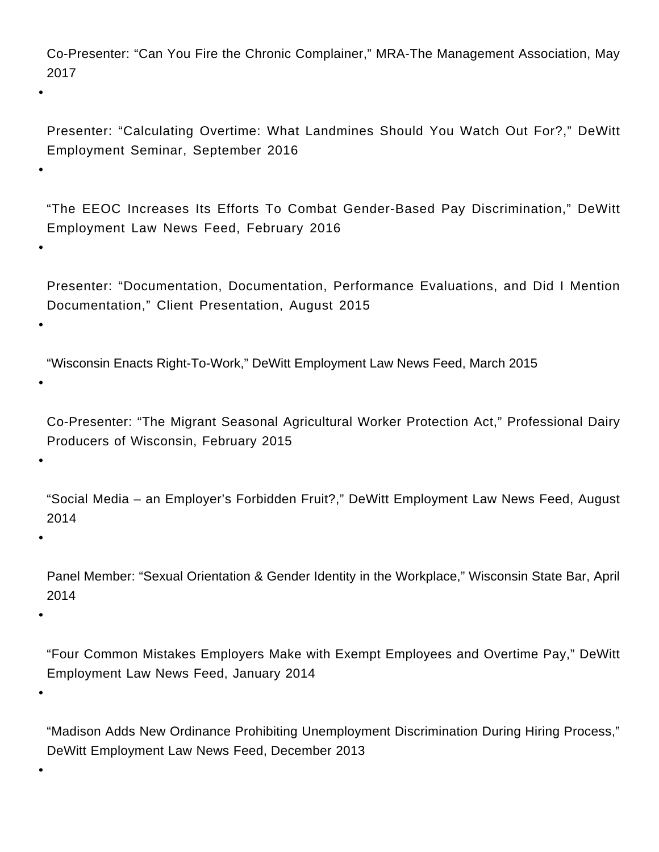Co-Presenter: "Can You Fire the Chronic Complainer," MRA-The Management Association, May 2017

Presenter: "Calculating Overtime: What Landmines Should You Watch Out For?," DeWitt Employment Seminar, September 2016

"[The EEOC Increases Its Efforts To Combat Gender-Based Pay Discrimination](http://www.dewittross.com/news-education/posts/2016/02/08/the-eeoc-increases-its-efforts-to-combat-gender-based-pay-discrimination)," DeWitt Employment Law News Feed, February 2016

Presenter: "Documentation, Documentation, Performance Evaluations, and Did I Mention Documentation," Client Presentation, August 2015

"[Wisconsin Enacts Right-To-Work,](http://www.dewittross.com/news-education/posts/2015/03/10/wisconsin-enacts-right-to-work)" DeWitt Employment Law News Feed, March 2015

•

•

•

•

•

Co-Presenter: "The Migrant Seasonal Agricultural Worker Protection Act," Professional Dairy Producers of Wisconsin, February 2015

"[Social Media – an Employer's Forbidden Fruit?](http://www.dewittross.com/news-education/posts/2014/08/18/social-media-an-employer-s-forbidden-fruit-)," DeWitt Employment Law News Feed, August 2014

•

•

Panel Member: "Sexual Orientation & Gender Identity in the Workplace," Wisconsin State Bar, April 2014

•

"[Four Common Mistakes Employers Make with Exempt Employees and Overtime Pay](http://www.dewittross.com/news-education/posts/2014/01/28/mistakes-employers-make-with-exempt-employees-and-overtime-pay)," DeWitt Employment Law News Feed, January 2014

•

•

"Madison Adds New Ordinance Prohibiting Unemployment Discrimination During Hiring Process," DeWitt Employment Law News Feed, December 2013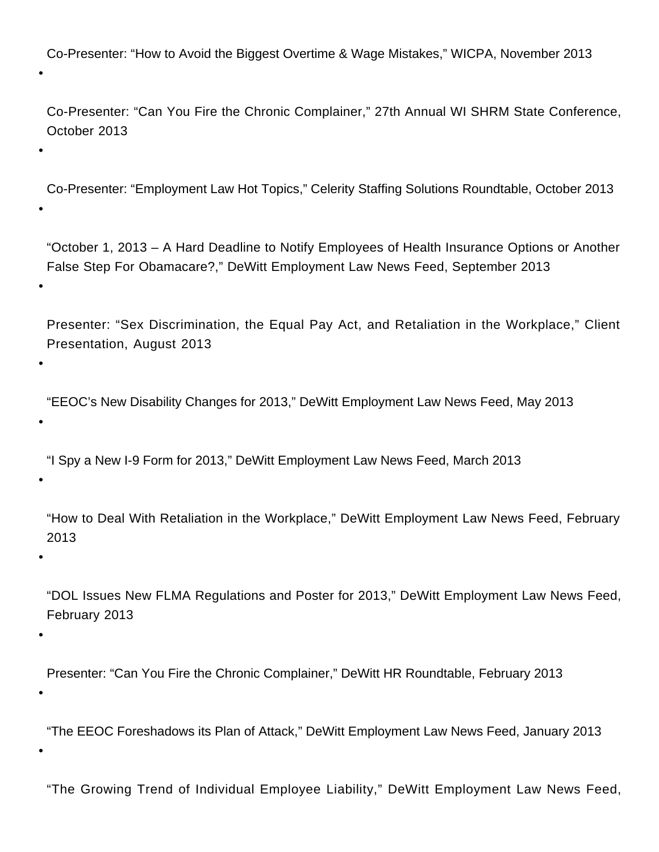Co-Presenter: "How to Avoid the Biggest Overtime & Wage Mistakes," WICPA, November 2013

Co-Presenter: "Can You Fire the Chronic Complainer," 27th Annual WI SHRM State Conference, October 2013

• Co-Presenter: "Employment Law Hot Topics," Celerity Staffing Solutions Roundtable, October 2013

"October 1, 2013 – A Hard Deadline to Notify Employees of Health Insurance Options or Another False Step For Obamacare?[,](http://www.dewittross.com/news-education/posts/2013/09/24/october-1-2013-a-hard-deadline-to-notify-employees-of-health-insurance-options-or-another-false-step-for-obamacare-)" DeWitt Employment Law News Feed, September 2013

Presenter: "Sex Discrimination, the Equal Pay Act, and Retaliation in the Workplace," Client Presentation, August 2013

• "EEOC's New Disability Changes for 2013," DeWitt Employment Law News Feed, May 2013

"I Spy a New I-9 Form for 2013," DeWitt Employment Law News Feed, March 2013

"How to Deal With Retaliation in the Workplace," DeWitt Employment Law News Feed, February 2013

•

•

•

•

•

•

"DOL Issues New FLMA Regulations and Poster for 2013," DeWitt Employment Law News Feed, February 2013

Presenter: "Can You Fire the Chronic Complainer," DeWitt HR Roundtable, February 2013

•

•

•

"The EEOC Foreshadows its Plan of Attack," DeWitt Employment Law News Feed, January 2013

"The Growing Trend of Individual Employee Liability," DeWitt Employment Law News Feed,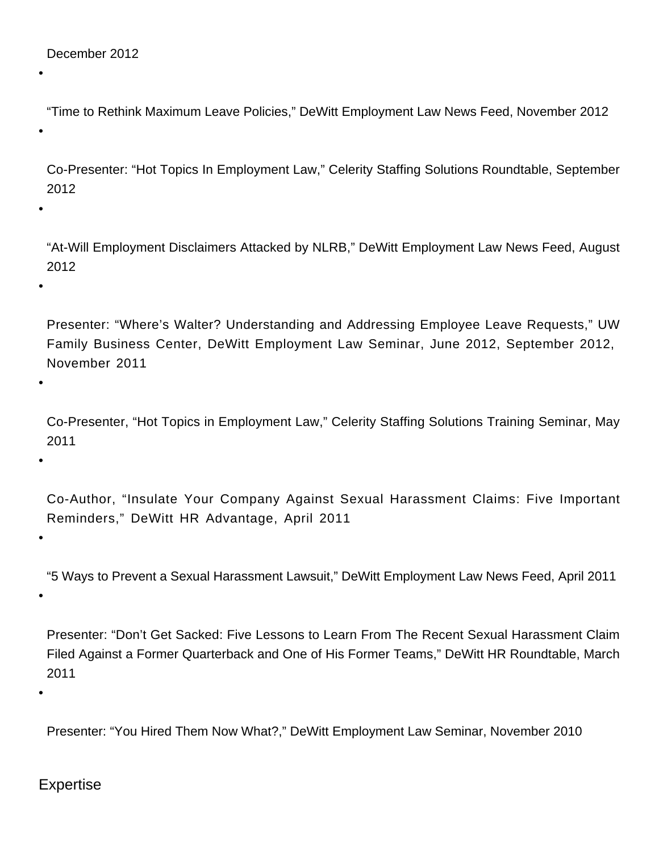•

•

•

•

•

•

"Time to Rethink Maximum Leave Policies," DeWitt Employment Law News Feed, November 2012

Co-Presenter: "Hot Topics In Employment Law," Celerity Staffing Solutions Roundtable, September 2012

"At-Will Employment Disclaimers Attacked by NLRB," DeWitt Employment Law News Feed, August 2012

Presenter: "Where's Walter? Understanding and Addressing Employee Leave Requests," UW Family Business Center, DeWitt Employment Law Seminar, June 2012, September 2012, November 2011

Co-Presenter, "Hot Topics in Employment Law," Celerity Staffing Solutions Training Seminar, May 2011

Co-Author, "Insulate Your Company Against Sexual Harassment Claims: Five Important Reminders," DeWitt HR Advantage, April 2011

"5 Ways to Prevent a Sexual Harassment Lawsuit," DeWitt Employment Law News Feed, April 2011

•

•

Presenter: "Don't Get Sacked: Five Lessons to Learn From The Recent Sexual Harassment Claim Filed Against a Former Quarterback and One of His Former Teams," DeWitt HR Roundtable, March 2011

•

Presenter: "You Hired Them Now What?," DeWitt Employment Law Seminar, November 2010

Expertise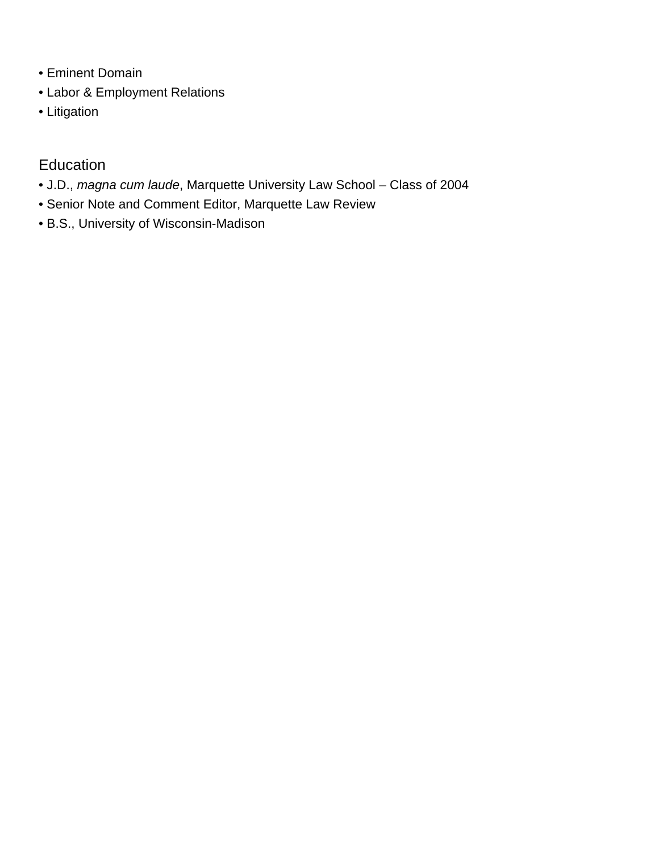- [Eminent Domain](/expertise/eminent-domain)
- [Labor & Employment Relations](/expertise/labor-employment-relations)
- [Litigation](/expertise/litigation)

# Education

- J.D., magna cum laude, Marquette University Law School Class of 2004
- Senior Note and Comment Editor, Marquette Law Review
- B.S., University of Wisconsin-Madison